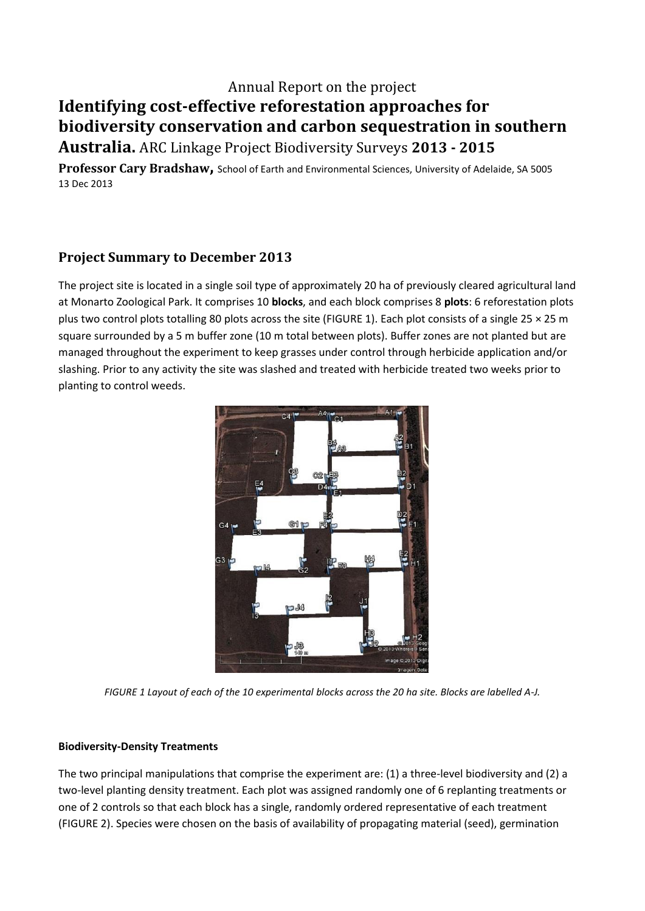## Annual Report on the project **Identifying cost-effective reforestation approaches for biodiversity conservation and carbon sequestration in southern Australia.** ARC Linkage Project Biodiversity Surveys **2013 - 2015**

**Professor Cary Bradshaw,** School of Earth and Environmental Sciences, University of Adelaide, SA 5005 13 Dec 2013

## **Project Summary to December 2013**

The project site is located in a single soil type of approximately 20 ha of previously cleared agricultural land at Monarto Zoological Park. It comprises 10 **blocks**, and each block comprises 8 **plots**: 6 reforestation plots plus two control plots totalling 80 plots across the site (FIGURE 1). Each plot consists of a single 25 × 25 m square surrounded by a 5 m buffer zone (10 m total between plots). Buffer zones are not planted but are managed throughout the experiment to keep grasses under control through herbicide application and/or slashing. Prior to any activity the site was slashed and treated with herbicide treated two weeks prior to planting to control weeds.



*FIGURE 1 Layout of each of the 10 experimental blocks across the 20 ha site. Blocks are labelled A-J.*

## **Biodiversity-Density Treatments**

The two principal manipulations that comprise the experiment are: (1) a three-level biodiversity and (2) a two-level planting density treatment. Each plot was assigned randomly one of 6 replanting treatments or one of 2 controls so that each block has a single, randomly ordered representative of each treatment (FIGURE 2). Species were chosen on the basis of availability of propagating material (seed), germination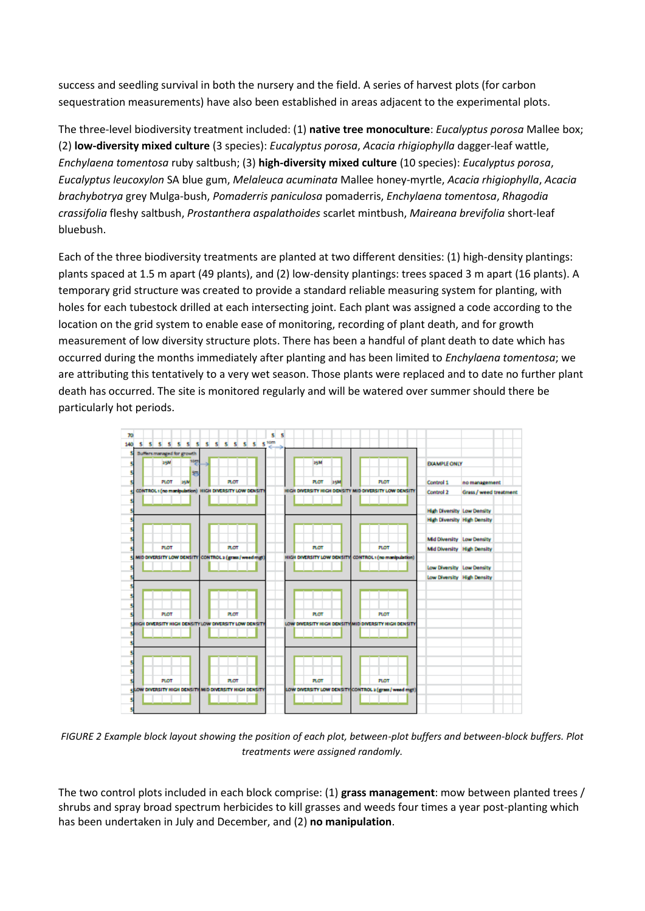success and seedling survival in both the nursery and the field. A series of harvest plots (for carbon sequestration measurements) have also been established in areas adjacent to the experimental plots.

The three-level biodiversity treatment included: (1) **native tree monoculture**: *Eucalyptus porosa* Mallee box; (2) **low-diversity mixed culture** (3 species): *Eucalyptus porosa*, *Acacia rhigiophylla* dagger-leaf wattle, *Enchylaena tomentosa* ruby saltbush; (3) **high-diversity mixed culture** (10 species): *Eucalyptus porosa*, *Eucalyptus leucoxylon* SA blue gum, *Melaleuca acuminata* Mallee honey-myrtle, *Acacia rhigiophylla*, *Acacia brachybotrya* grey Mulga-bush, *Pomaderris paniculosa* pomaderris, *Enchylaena tomentosa*, *Rhagodia crassifolia* fleshy saltbush, *Prostanthera aspalathoides* scarlet mintbush, *Maireana brevifolia* short-leaf bluebush.

Each of the three biodiversity treatments are planted at two different densities: (1) high-density plantings: plants spaced at 1.5 m apart (49 plants), and (2) low-density plantings: trees spaced 3 m apart (16 plants). A temporary grid structure was created to provide a standard reliable measuring system for planting, with holes for each tubestock drilled at each intersecting joint. Each plant was assigned a code according to the location on the grid system to enable ease of monitoring, recording of plant death, and for growth measurement of low diversity structure plots. There has been a handful of plant death to date which has occurred during the months immediately after planting and has been limited to *Enchylaena tomentosa*; we are attributing this tentatively to a very wet season. Those plants were replaced and to date no further plant death has occurred. The site is monitored regularly and will be watered over summer should there be particularly hot periods.



*FIGURE 2 Example block layout showing the position of each plot, between-plot buffers and between-block buffers. Plot treatments were assigned randomly.*

The two control plots included in each block comprise: (1) **grass management**: mow between planted trees / shrubs and spray broad spectrum herbicides to kill grasses and weeds four times a year post-planting which has been undertaken in July and December, and (2) **no manipulation**.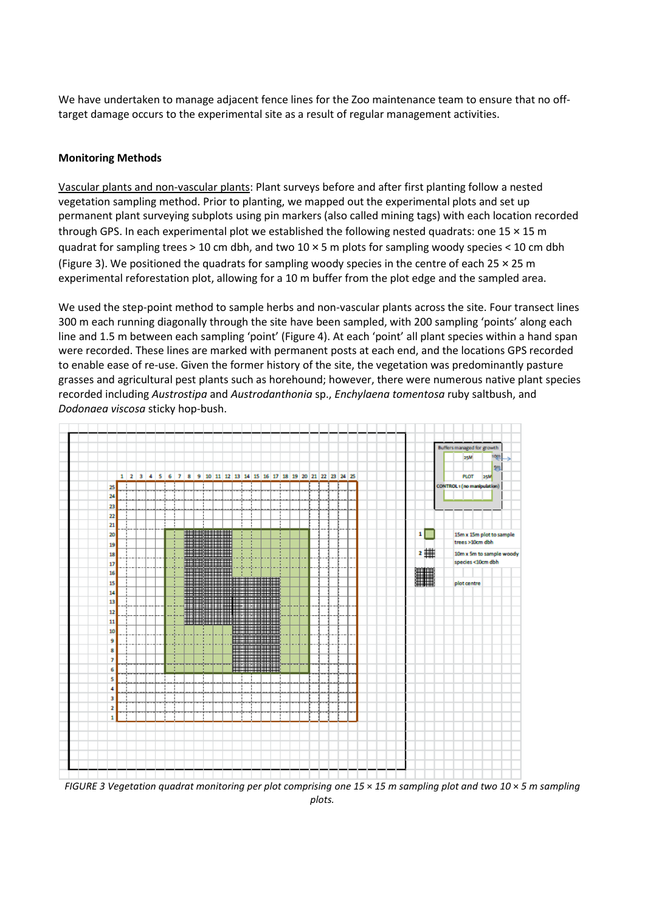We have undertaken to manage adjacent fence lines for the Zoo maintenance team to ensure that no offtarget damage occurs to the experimental site as a result of regular management activities.

## **Monitoring Methods**

Vascular plants and non-vascular plants: Plant surveys before and after first planting follow a nested vegetation sampling method. Prior to planting, we mapped out the experimental plots and set up permanent plant surveying subplots using pin markers (also called mining tags) with each location recorded through GPS. In each experimental plot we established the following nested quadrats: one 15 × 15 m quadrat for sampling trees > 10 cm dbh, and two 10 × 5 m plots for sampling woody species < 10 cm dbh (Figure 3). We positioned the quadrats for sampling woody species in the centre of each 25  $\times$  25 m experimental reforestation plot, allowing for a 10 m buffer from the plot edge and the sampled area.

We used the step-point method to sample herbs and non-vascular plants across the site. Four transect lines 300 m each running diagonally through the site have been sampled, with 200 sampling 'points' along each line and 1.5 m between each sampling 'point' (Figure 4). At each 'point' all plant species within a hand span were recorded. These lines are marked with permanent posts at each end, and the locations GPS recorded to enable ease of re-use. Given the former history of the site, the vegetation was predominantly pasture grasses and agricultural pest plants such as horehound; however, there were numerous native plant species recorded including *Austrostipa* and *Austrodanthonia* sp., *Enchylaena tomentosa* ruby saltbush, and *Dodonaea viscosa* sticky hop-bush.



*FIGURE 3 Vegetation quadrat monitoring per plot comprising one 15* × *15 m sampling plot and two 10* × *5 m sampling plots.*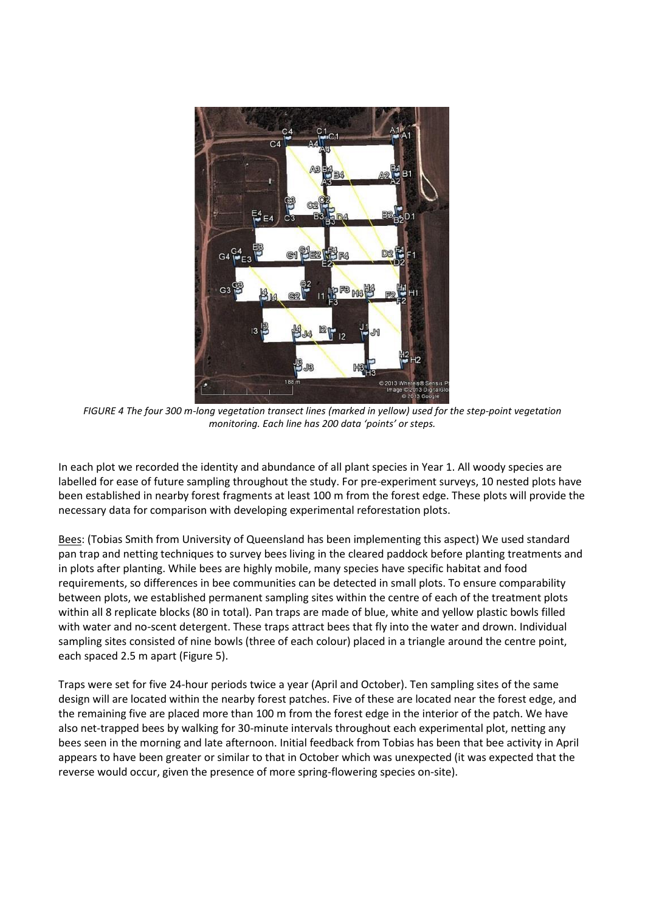

*FIGURE 4 The four 300 m-long vegetation transect lines (marked in yellow) used for the step-point vegetation monitoring. Each line has 200 data 'points' or steps.*

In each plot we recorded the identity and abundance of all plant species in Year 1. All woody species are labelled for ease of future sampling throughout the study. For pre-experiment surveys, 10 nested plots have been established in nearby forest fragments at least 100 m from the forest edge. These plots will provide the necessary data for comparison with developing experimental reforestation plots.

Bees: (Tobias Smith from University of Queensland has been implementing this aspect) We used standard pan trap and netting techniques to survey bees living in the cleared paddock before planting treatments and in plots after planting. While bees are highly mobile, many species have specific habitat and food requirements, so differences in bee communities can be detected in small plots. To ensure comparability between plots, we established permanent sampling sites within the centre of each of the treatment plots within all 8 replicate blocks (80 in total). Pan traps are made of blue, white and yellow plastic bowls filled with water and no-scent detergent. These traps attract bees that fly into the water and drown. Individual sampling sites consisted of nine bowls (three of each colour) placed in a triangle around the centre point, each spaced 2.5 m apart (Figure 5).

Traps were set for five 24-hour periods twice a year (April and October). Ten sampling sites of the same design will are located within the nearby forest patches. Five of these are located near the forest edge, and the remaining five are placed more than 100 m from the forest edge in the interior of the patch. We have also net-trapped bees by walking for 30-minute intervals throughout each experimental plot, netting any bees seen in the morning and late afternoon. Initial feedback from Tobias has been that bee activity in April appears to have been greater or similar to that in October which was unexpected (it was expected that the reverse would occur, given the presence of more spring-flowering species on-site).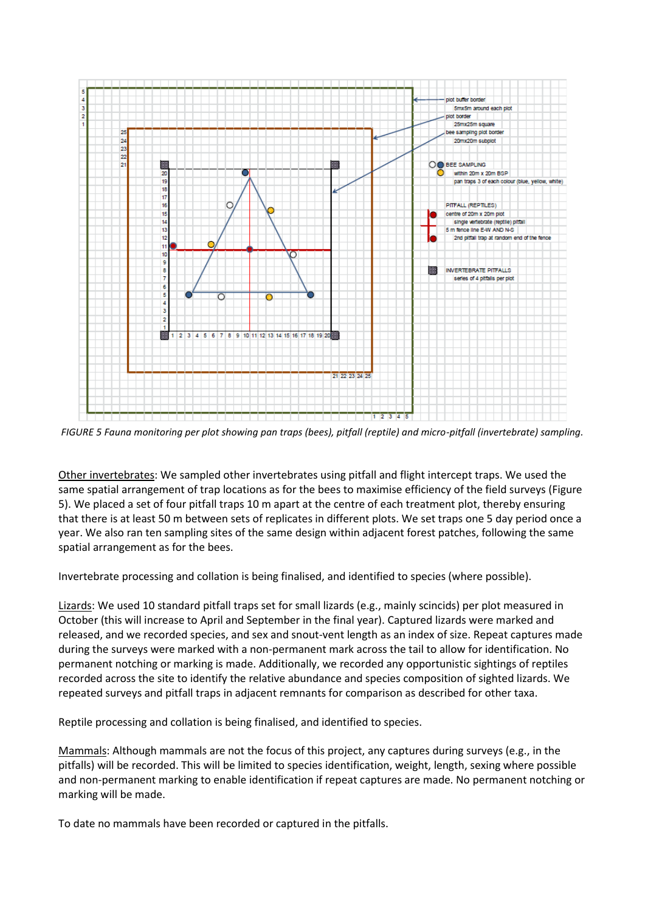

*FIGURE 5 Fauna monitoring per plot showing pan traps (bees), pitfall (reptile) and micro-pitfall (invertebrate) sampling.*

Other invertebrates: We sampled other invertebrates using pitfall and flight intercept traps. We used the same spatial arrangement of trap locations as for the bees to maximise efficiency of the field surveys (Figure 5). We placed a set of four pitfall traps 10 m apart at the centre of each treatment plot, thereby ensuring that there is at least 50 m between sets of replicates in different plots. We set traps one 5 day period once a year. We also ran ten sampling sites of the same design within adjacent forest patches, following the same spatial arrangement as for the bees.

Invertebrate processing and collation is being finalised, and identified to species (where possible).

Lizards: We used 10 standard pitfall traps set for small lizards (e.g., mainly scincids) per plot measured in October (this will increase to April and September in the final year). Captured lizards were marked and released, and we recorded species, and sex and snout-vent length as an index of size. Repeat captures made during the surveys were marked with a non-permanent mark across the tail to allow for identification. No permanent notching or marking is made. Additionally, we recorded any opportunistic sightings of reptiles recorded across the site to identify the relative abundance and species composition of sighted lizards. We repeated surveys and pitfall traps in adjacent remnants for comparison as described for other taxa.

Reptile processing and collation is being finalised, and identified to species.

Mammals: Although mammals are not the focus of this project, any captures during surveys (e.g., in the pitfalls) will be recorded. This will be limited to species identification, weight, length, sexing where possible and non-permanent marking to enable identification if repeat captures are made. No permanent notching or marking will be made.

To date no mammals have been recorded or captured in the pitfalls.